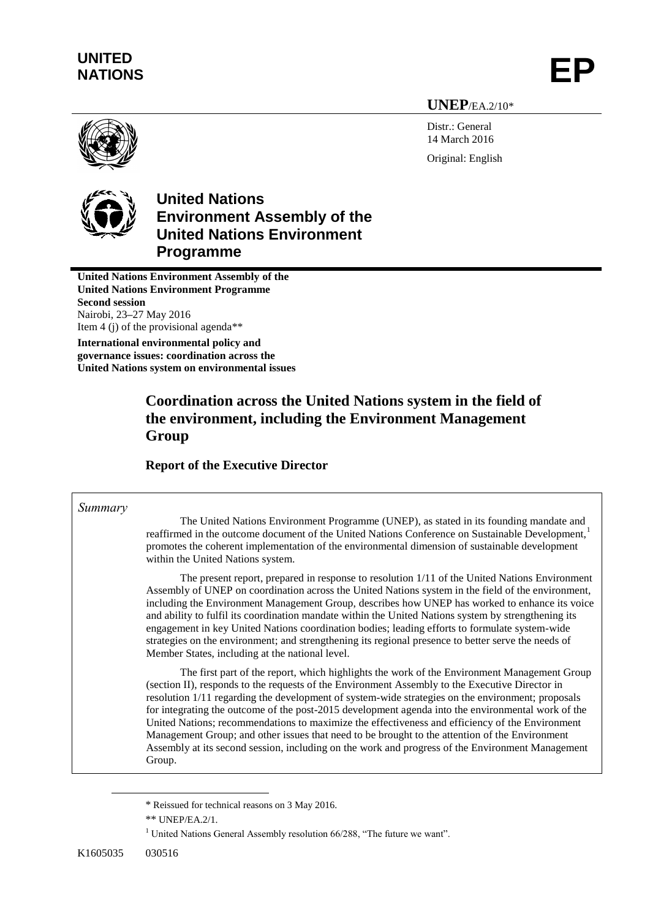# **UNITED** UNITED<br>NATIONS **EP**

**UNEP**/EA.2/10\*

Distr.: General 14 March 2016 Original: English



# **United Nations Environment Assembly of the United Nations Environment Programme**

**United Nations Environment Assembly of the United Nations Environment Programme Second session** Nairobi, 23**–**27 May 2016 Item 4 (j) of the provisional agenda\*\*

**International environmental policy and governance issues: coordination across the United Nations system on environmental issues**

## **Coordination across the United Nations system in the field of the environment, including the Environment Management Group**

## **Report of the Executive Director**

#### *Summary*

The United Nations Environment Programme (UNEP), as stated in its founding mandate and reaffirmed in the outcome document of the United Nations Conference on Sustainable Development,<sup>1</sup> promotes the coherent implementation of the environmental dimension of sustainable development within the United Nations system.

The present report, prepared in response to resolution 1/11 of the United Nations Environment Assembly of UNEP on coordination across the United Nations system in the field of the environment, including the Environment Management Group, describes how UNEP has worked to enhance its voice and ability to fulfil its coordination mandate within the United Nations system by strengthening its engagement in key United Nations coordination bodies; leading efforts to formulate system-wide strategies on the environment; and strengthening its regional presence to better serve the needs of Member States, including at the national level.

The first part of the report, which highlights the work of the Environment Management Group (section II), responds to the requests of the Environment Assembly to the Executive Director in resolution 1/11 regarding the development of system-wide strategies on the environment; proposals for integrating the outcome of the post-2015 development agenda into the environmental work of the United Nations; recommendations to maximize the effectiveness and efficiency of the Environment Management Group; and other issues that need to be brought to the attention of the Environment Assembly at its second session, including on the work and progress of the Environment Management Group.

 $\overline{a}$ 

<sup>\*</sup> Reissued for technical reasons on 3 May 2016.

<sup>\*\*</sup> UNEP/EA.2/1.

<sup>&</sup>lt;sup>1</sup> United Nations General Assembly resolution  $66/288$ , "The future we want".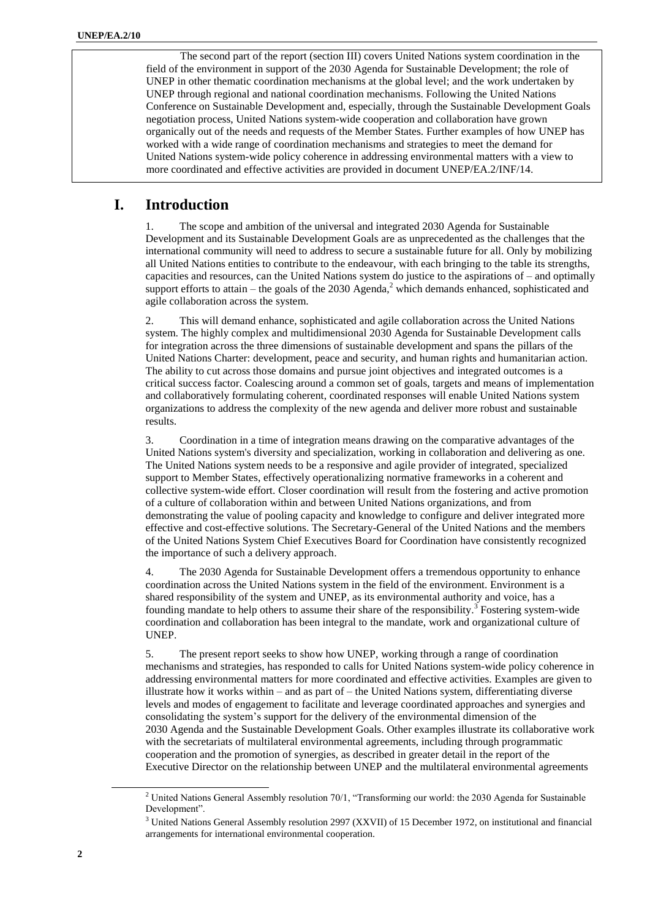The second part of the report (section III) covers United Nations system coordination in the field of the environment in support of the 2030 Agenda for Sustainable Development; the role of UNEP in other thematic coordination mechanisms at the global level; and the work undertaken by UNEP through regional and national coordination mechanisms. Following the United Nations Conference on Sustainable Development and, especially, through the Sustainable Development Goals negotiation process, United Nations system-wide cooperation and collaboration have grown organically out of the needs and requests of the Member States. Further examples of how UNEP has worked with a wide range of coordination mechanisms and strategies to meet the demand for United Nations system-wide policy coherence in addressing environmental matters with a view to more coordinated and effective activities are provided in document UNEP/EA.2/INF/14.

### **I. Introduction**

1. The scope and ambition of the universal and integrated 2030 Agenda for Sustainable Development and its Sustainable Development Goals are as unprecedented as the challenges that the international community will need to address to secure a sustainable future for all. Only by mobilizing all United Nations entities to contribute to the endeavour, with each bringing to the table its strengths, capacities and resources, can the United Nations system do justice to the aspirations of – and optimally support efforts to attain – the goals of the 2030 Agenda,<sup>2</sup> which demands enhanced, sophisticated and agile collaboration across the system.

2. This will demand enhance, sophisticated and agile collaboration across the United Nations system. The highly complex and multidimensional 2030 Agenda for Sustainable Development calls for integration across the three dimensions of sustainable development and spans the pillars of the United Nations Charter: development, peace and security, and human rights and humanitarian action. The ability to cut across those domains and pursue joint objectives and integrated outcomes is a critical success factor. Coalescing around a common set of goals, targets and means of implementation and collaboratively formulating coherent, coordinated responses will enable United Nations system organizations to address the complexity of the new agenda and deliver more robust and sustainable results.

3. Coordination in a time of integration means drawing on the comparative advantages of the United Nations system's diversity and specialization, working in collaboration and delivering as one. The United Nations system needs to be a responsive and agile provider of integrated, specialized support to Member States, effectively operationalizing normative frameworks in a coherent and collective system-wide effort. Closer coordination will result from the fostering and active promotion of a culture of collaboration within and between United Nations organizations, and from demonstrating the value of pooling capacity and knowledge to configure and deliver integrated more effective and cost-effective solutions. The Secretary-General of the United Nations and the members of the United Nations System Chief Executives Board for Coordination have consistently recognized the importance of such a delivery approach.

4. The 2030 Agenda for Sustainable Development offers a tremendous opportunity to enhance coordination across the United Nations system in the field of the environment. Environment is a shared responsibility of the system and UNEP, as its environmental authority and voice, has a founding mandate to help others to assume their share of the responsibility.<sup>3</sup> Fostering system-wide coordination and collaboration has been integral to the mandate, work and organizational culture of UNEP.

5. The present report seeks to show how UNEP, working through a range of coordination mechanisms and strategies, has responded to calls for United Nations system-wide policy coherence in addressing environmental matters for more coordinated and effective activities. Examples are given to illustrate how it works within – and as part of – the United Nations system, differentiating diverse levels and modes of engagement to facilitate and leverage coordinated approaches and synergies and consolidating the system's support for the delivery of the environmental dimension of the 2030 Agenda and the Sustainable Development Goals. Other examples illustrate its collaborative work with the secretariats of multilateral environmental agreements, including through programmatic cooperation and the promotion of synergies, as described in greater detail in the report of the Executive Director on the relationship between UNEP and the multilateral environmental agreements

l

<sup>&</sup>lt;sup>2</sup> United Nations General Assembly resolution 70/1, "Transforming our world: the 2030 Agenda for Sustainable Development".

<sup>3</sup> United Nations General Assembly resolution 2997 (XXVII) of 15 December 1972, on institutional and financial arrangements for international environmental cooperation.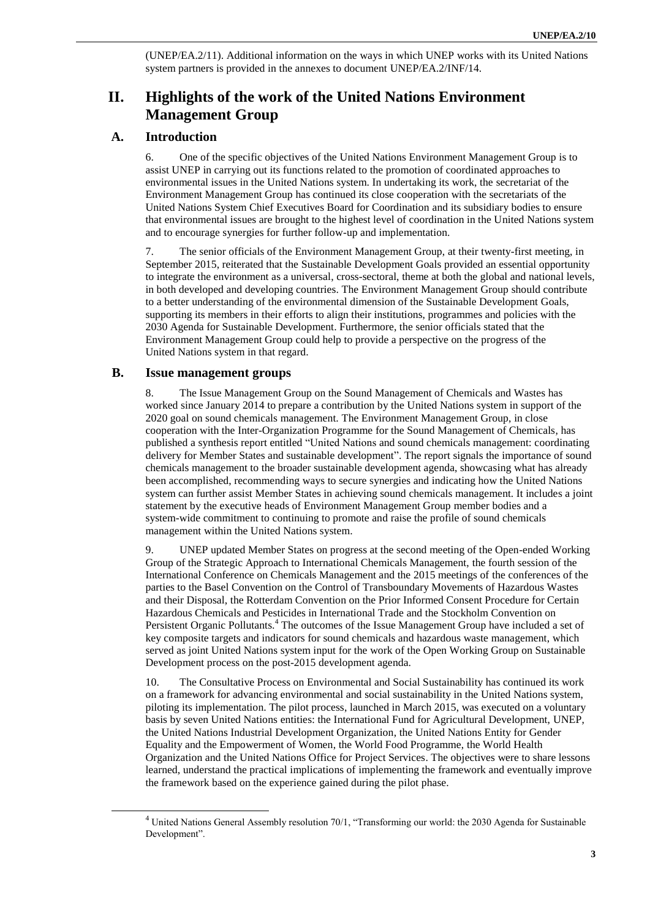(UNEP/EA.2/11). Additional information on the ways in which UNEP works with its United Nations system partners is provided in the annexes to document UNEP/EA.2/INF/14.

## **II. Highlights of the work of the United Nations Environment Management Group**

#### **A. Introduction**

6. One of the specific objectives of the United Nation[s Environment Management Group](http://www.unemg.org/) is to assist UNEP in carrying out its functions related to the promotion of coordinated approaches to environmental issues in the United Nations system. In undertaking its work, the secretariat of the Environment Management Group has continued its close cooperation with the secretariats of the United Nations System Chief Executives Board for Coordination and its subsidiary bodies to ensure that environmental issues are brought to the highest level of coordination in the United Nations system and to encourage synergies for further follow-up and implementation.

7. The senior officials of the Environment Management Group, at their twenty-first meeting, in September 2015, reiterated that the Sustainable Development Goals provided an essential opportunity to integrate the environment as a universal, cross-sectoral, theme at both the global and national levels, in both developed and developing countries. The Environment Management Group should contribute to a better understanding of the environmental dimension of the Sustainable Development Goals, supporting its members in their efforts to align their institutions, programmes and policies with the 2030 Agenda for Sustainable Development. Furthermore, the senior officials stated that the Environment Management Group could help to provide a perspective on the progress of the United Nations system in that regard.

#### **B. Issue management groups**

 $\overline{a}$ 

8. The [Issue Management Group on the Sound Management of Chemicals](http://www.unemg.org/issue-management-groups/sound-management-of-chemicals-and-waste) and Wastes has worked since January 2014 to prepare a contribution by the United Nations system in support of the 2020 goal on sound chemicals management. The Environment Management Group, in close cooperation with the [Inter-Organization Programme for the Sound Management of Chemicals,](http://www.who.int/iomc/en/) has published [a synthesis report](http://www.unemg.org/images/emgdocs/SOMMeetings/2015/chemical_report.pdf) entitled "United Nations and sound chemicals management: coordinating delivery for Member States and sustainable development". The report signals the importance of sound chemicals management to the broader sustainable development agenda, showcasing what has already been accomplished, recommending ways to secure synergies and indicating how the United Nations system can further assist Member States in achieving sound chemicals management. It includes [a joint](http://www.unemg.org/images/emgdocs/SOMMeetings/2015/EMGSOM21INF2FINAL_Joint_Statement_280815.pdf)  [statement by the executive heads of Environment Management Group member bodies](http://www.unemg.org/images/emgdocs/SOMMeetings/2015/EMGSOM21INF2FINAL_Joint_Statement_280815.pdf) and a system-wide commitment to continuing to promote and raise the profile of sound chemicals management within the United Nations system.

9. UNEP updated Member States on progress at the second meeting of the Open-ended Working Group of the Strategic Approach to International Chemicals Management, the fourth session of the International Conference on Chemicals Management and the 2015 meetings of the conferences of the parties to the Basel Convention on the Control of Transboundary Movements of Hazardous Wastes and their Disposal, the Rotterdam Convention on the Prior Informed Consent Procedure for Certain Hazardous Chemicals and Pesticides in International Trade and the Stockholm Convention on Persistent Organic Pollutants.<sup>4</sup> The outcomes of the Issue Management Group have included a set of key composite [targets and indicators for sound chemicals and hazardous waste management,](http://www.unemg.org/images/emgdocs/chemicals/Final_draft_table_060514.pdf) which served as joint United Nations system input for the work of the Open Working Group on Sustainable Development process on the post-2015 development agenda.

10. Th[e Consultative Process on Environmental and Social Sustainability](http://www.unemg.org/consultative-processes/environmental-and-social-sustainability) has continued its work on [a framework for advancing environmental and social sustainability in the United Nations](http://www.unemg.org/images/emgdocs/publications/sustainabilityfinalweb-.pdf) system, piloting its implementation. The pilot process, launched in March 2015, was executed on a voluntary basis by seven United Nations entities: the International Fund for Agricultural Development, UNEP, the United Nations Industrial Development Organization, the United Nations Entity for Gender Equality and the Empowerment of Women, the World Food Programme, the World Health Organization and the United Nations Office for Project Services. The objectives were to share lessons learned, understand the practical implications of implementing the framework and eventually improve the framework based on the experience gained during the pilot phase.

<sup>&</sup>lt;sup>4</sup> United Nations General Assembly resolution 70/1, "Transforming our world: the 2030 Agenda for Sustainable Development".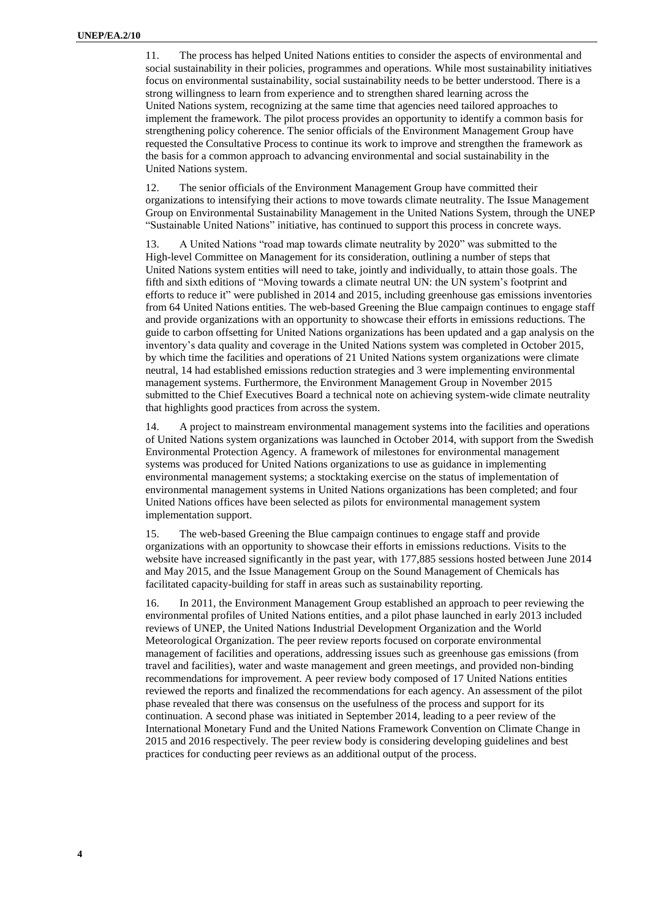11. The process has helped United Nations entities to consider the aspects of environmental and social sustainability in their policies, programmes and operations. While most sustainability initiatives focus on environmental sustainability, social sustainability needs to be better understood. There is a strong willingness to learn from experience and to strengthen shared learning across the United Nations system, recognizing at the same time that agencies need tailored approaches to implement the framework. The pilot process provides an opportunity to identify a common basis for strengthening policy coherence. The senior officials of the Environment Management Group have requested the Consultative Process to continue its work to improve and strengthen the framework as the basis for a common approach to advancing environmental and social sustainability in the United Nations system.

12. The senior officials of the Environment Management Group have committed their organizations to intensifying their actions to move towards climate neutrality. The Issue Management Group [on Environmental Sustainability Management](http://www.unemg.org/issue-management-groups/environmental-management) in the United Nations System, through the [UNEP](http://www.unep.org/resourceefficiency/Society/SustainableUN/tabid/55551/Default.aspx)  ["Sustainable United Nations"](http://www.unep.org/resourceefficiency/Society/SustainableUN/tabid/55551/Default.aspx) initiative, has continued to support this process in concrete ways.

13. A United Nations "road map towards climate neutrality by 2020" was submitted to the High-level Committee on Management for its consideration, outlining a number of steps that United Nations system entities will need to take, jointly and individually, to attain those goals. The fifth and sixth editions of "Moving towards a climate neutral UN: the UN system's footprint and efforts to reduce it" were published in 2014 and 2015, including greenhouse gas emissions inventories from 64 United Nations entities. The web-based [Greening the Blue](http://www.greeningtheblue.org/) campaign continues to engage staff and provide organizations with an opportunity to showcase their efforts in emissions reductions. The guide to carbon offsetting for United Nations organizations has been updated and a gap analysis on the inventory's data quality and coverage in the United Nations system was completed in October 2015, by which time the facilities and operations of 21 United Nations system organizations were climate neutral, 14 had established emissions reduction strategies and 3 were implementing environmental management systems. Furthermore, the Environment Management Group in November 2015 submitted to the Chief Executives Board a technical note on achieving system-wide climate neutrality that highlights good practices from across the system.

14. A project to mainstream environmental management systems into the facilities and operations of United Nations system organizations was launched in October 2014, with support from the Swedish Environmental Protection Agency. A framework of milestones for environmental management systems was produced for United Nations organizations to use as guidance in implementing environmental management systems; a stocktaking exercise on the status of implementation of environmental management systems in United Nations organizations has been completed; and four United Nations offices have been selected as pilots for environmental management system implementation support.

15. The web-based [Greening the Blue](http://www.greeningtheblue.org/) campaign continues to engage staff and provide organizations with an opportunity to showcase their efforts in emissions reductions. Visits to the website have increased significantly in the past year, with 177,885 sessions hosted between June 2014 and May 2015, and the Issue Management Group on the Sound Management of Chemicals has facilitated capacity-building for staff in areas such as sustainability reporting.

16. In 2011, the Environment Management Group established an approach to [peer reviewing the](http://www.unemg.org/consultative-processes/environmental-management-peer-review)  [environmental profiles of United Nations entities,](http://www.unemg.org/consultative-processes/environmental-management-peer-review) and a pilot phase launched in early 2013 included reviews of UNEP, the United Nations Industrial Development Organization and the World Meteorological Organization. The peer review reports focused on corporate environmental management of facilities and operations, addressing issues such as greenhouse gas emissions (from travel and facilities), water and waste management and green meetings, and provided non-binding recommendations for improvement. A peer review body composed of 17 United Nations entities reviewed the reports and finalized the recommendations for each agency. An assessment of the pilot phase revealed that there was consensus on the usefulness of the process and support for its continuation. A second phase was initiated in September 2014, leading to a peer review of the International Monetary Fund and the United Nations Framework Convention on Climate Change in 2015 and 2016 respectively. The peer review body is considering developing guidelines and best practices for conducting peer reviews as an additional output of the process.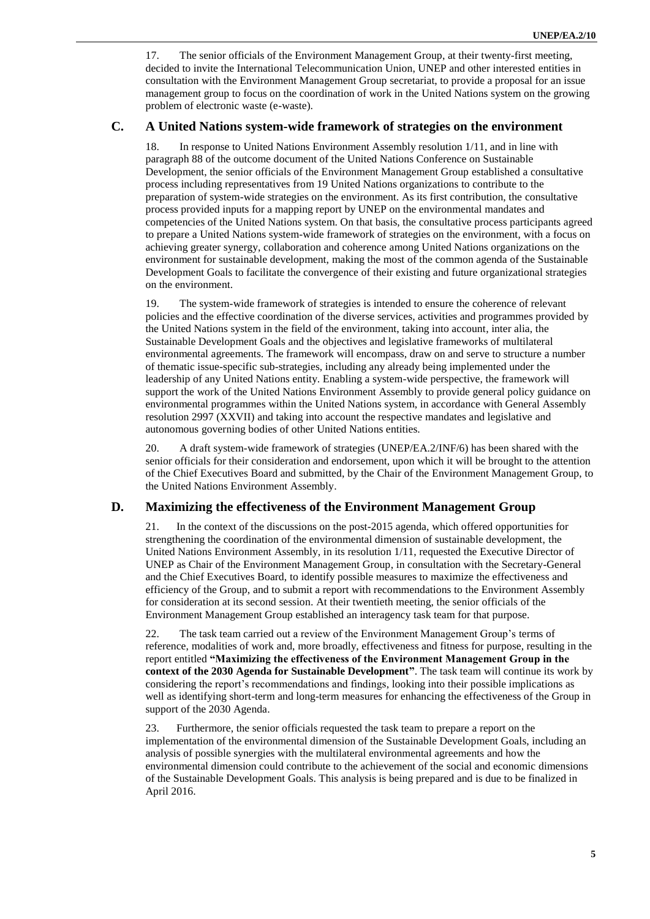17. The senior officials of the Environment Management Group, at their twenty-first meeting, decided to invite the International Telecommunication Union, UNEP and other interested entities in consultation with the Environment Management Group secretariat, to provide a proposal for an issue management group to focus on the coordination of work in the United Nations system on the growing problem of electronic waste (e-waste).

#### **C. A United Nations system-wide framework of strategies on the environment**

18. In response to United Nations Environment Assembly resolution 1/11, and in line with paragraph 88 of the outcome document of the United Nations Conference on Sustainable Development, the senior officials of the Environment Management Group established a [consultative](http://unemg.org/images/emgdocs/UN_sws/Final_ToR_ConsultativeProcess_SWFS.pdf)  [process](http://unemg.org/images/emgdocs/UN_sws/Final_ToR_ConsultativeProcess_SWFS.pdf) including representatives from 19 United Nations organizations to contribute to the preparation of system-wide strategies on the environment. As its first contribution, the consultative process provided inputs for a mapping report by UNEP on the environmental mandates and competencies of the United Nations system. On that basis, the consultative process participants agreed to prepare a United Nations system-wide framework of strategies on the environment, with a focus on achieving greater synergy, collaboration and coherence among United Nations organizations on the environment for sustainable development, making the most of the common agenda of the Sustainable Development Goals to facilitate the convergence of their existing and future organizational strategies on the environment.

19. The system-wide framework of strategies is intended to ensure the coherence of relevant policies and the effective coordination of the diverse services, activities and programmes provided by the United Nations system in the field of the environment, taking into account, inter alia, the Sustainable Development Goals and the objectives and legislative frameworks of multilateral environmental agreements. The framework will encompass, draw on and serve to structure a number of thematic issue-specific sub-strategies, including any already being implemented under the leadership of any United Nations entity. Enabling a system-wide perspective, the framework will support the work of the United Nations Environment Assembly to provide general policy guidance on environmental programmes within the United Nations system, in accordance with General Assembly resolution 2997 (XXVII) and taking into account the respective mandates and legislative and autonomous governing bodies of other United Nations entities.

20. A draft system-wide framework of strategies (UNEP/EA.2/INF/6) has been shared with the senior officials for their consideration and endorsement, upon which it will be brought to the attention of the Chief Executives Board and submitted, by the Chair of the Environment Management Group, to the United Nations Environment Assembly.

#### **D. Maximizing the effectiveness of the Environment Management Group**

21. In the context of the discussions on the post-2015 agenda, which offered opportunities for strengthening the coordination of the environmental dimension of sustainable development, the United Nations Environment Assembly, in its resolution 1/11, requested the Executive Director of UNEP as Chair of the Environment Management Group, in consultation with the Secretary-General and the Chief Executives Board, to identify possible measures to maximize the effectiveness and efficiency of the Group, and to submit a report with recommendations to the Environment Assembly for consideration at its second session. At their twentieth meeting, the senior officials of the Environment Management Group established an interagency task team for that purpose.

22. The task team carried out a review of the Environment Management Group's terms of reference, modalities of work and, more broadly, effectiveness and fitness for purpose, resulting in the report entitled **["Maximizing the effectiveness of the Environment Management Group in the](http://unemg.org/images/emgdocs/Maximising/FINAL_report_on_EMG_effectviness_2015.pdf)  context of the 2030 Agenda [for Sustainable Development"](http://unemg.org/images/emgdocs/Maximising/FINAL_report_on_EMG_effectviness_2015.pdf)**. The task team will continue its work by considering the report's recommendations and findings, looking into their possible implications as well as identifying short-term and long-term measures for enhancing the effectiveness of the Group in support of the 2030 Agenda.

23. Furthermore, the senior officials requested the task team to prepare a report on the implementation of the environmental dimension of the Sustainable Development Goals, including an analysis of possible synergies with the multilateral environmental agreements and how the environmental dimension could contribute to the achievement of the social and economic dimensions of the Sustainable Development Goals. This analysis is being prepared and is due to be finalized in April 2016.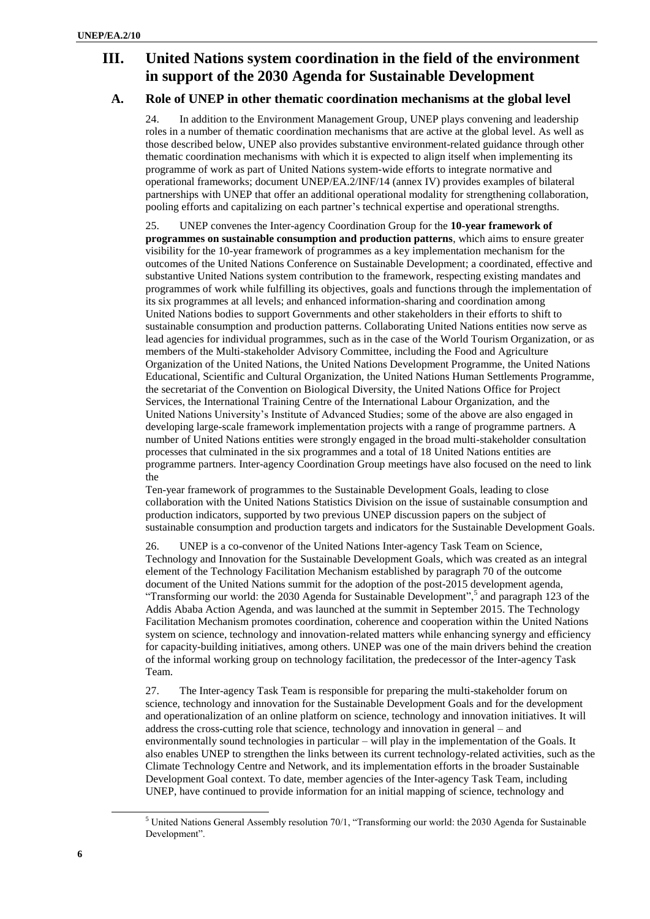## **III. United Nations system coordination in the field of the environment in support of the 2030 Agenda for Sustainable Development**

### **A. Role of UNEP in other thematic coordination mechanisms at the global level**

24. In addition to the Environment Management Group, UNEP plays convening and leadership roles in a number of thematic coordination mechanisms that are active at the global level. As well as those described below, UNEP also provides substantive environment-related guidance through other thematic coordination mechanisms with which it is expected to align itself when implementing its programme of work as part of United Nations system-wide efforts to integrate normative and operational frameworks; document UNEP/EA.2/INF/14 (annex IV) provides examples of bilateral partnerships with UNEP that offer an additional operational modality for strengthening collaboration, pooling efforts and capitalizing on each partner's technical expertise and operational strengths.

25. UNEP convenes the Inter-agency [Coordination Group](http://www.unep.org/10yfp/ActorsStructure/UNInteragencyCoordinationGroup/tabid/106260/Default.aspx) for the **[10-year framework of](http://www.unep.org/10yfp/About/tabid/106242/Default.aspx)  [programmes on sustainable consumption and production patterns](http://www.unep.org/10yfp/About/tabid/106242/Default.aspx)**, which aims to ensure greater visibility for the 10-year framework of programmes as a key implementation mechanism for the outcomes of the United Nations Conference on Sustainable Development; a coordinated, effective and substantive United Nations system contribution to the framework, respecting existing mandates and programmes of work while fulfilling its objectives, goals and functions through the implementation of its six programmes at all levels; and enhanced information-sharing and coordination among United Nations bodies to support Governments and other stakeholders in their efforts to shift to sustainable consumption and production patterns. Collaborating United Nations entities now serve as lead agencies for individual programmes, such as in the case of the World Tourism Organization, or as members of the Multi-stakeholder Advisory Committee, including the Food and Agriculture Organization of the United Nations, the United Nations Development Programme, the United Nations Educational, Scientific and Cultural Organization, the United Nations Human Settlements Programme, the secretariat of the Convention on Biological Diversity, the United Nations Office for Project Services, the International Training Centre of the International Labour Organization, and the United Nations University's Institute of Advanced Studies; some of the above are also engaged in developing large-scale framework implementation projects with a range of programme partners. A number of United Nations entities were strongly engaged in the broad multi-stakeholder consultation processes that culminated in the six programmes and a total of 18 United Nations entities are programme partners. Inter-agency Coordination Group meetings have also focused on the need to link the

Ten-year framework of programmes to the Sustainable Development Goals, leading to close collaboration with the United Nations Statistics Division on the issue of sustainable consumption and production indicators, supported by two previous UNEP discussion papers on the subject of sustainable consumption and production targets and indicators for the Sustainable Development Goals.

26. UNEP is a co-convenor of the [United Nations Inter-agency Task Team on Science,](https://sustainabledevelopment.un.org/content/documents/85652015.10.21_IATT%201st%20Meeting_Programme%20rev.pdf)  [Technology and Innovation for the Sustainable Development Goals,](https://sustainabledevelopment.un.org/content/documents/85652015.10.21_IATT%201st%20Meeting_Programme%20rev.pdf) which was created as an integral element of the [Technology Facilitation Mechanism](https://sustainabledevelopment.un.org/topics/technology/facilitationmechanism) established by paragraph 70 of the outcome document of the United Nations summit for the adoption of the post-2015 development agenda, "Transforming our world: the 2030 Agenda for Sustainable Development",<sup>5</sup> and paragraph 123 of the Addis Ababa Action Agenda, and was launched at the summit in September 2015. The Technology Facilitation Mechanism promotes coordination, coherence and cooperation within the United Nations system on science, technology and innovation-related matters while enhancing synergy and efficiency for capacity-building initiatives, among others. UNEP was one of the main drivers behind the creation of the informal working group on technology facilitation, the predecessor of the Inter-agency Task Team.

27. The Inter-agency Task Team is responsible for preparing the multi-stakeholder forum on science, technology and innovation for the Sustainable Development Goals and for the development and operationalization of an online platform on science, technology and innovation initiatives. It will address the cross-cutting role that science, technology and innovation in general – and environmentally sound technologies in particular – will play in the implementation of the Goals. It also enables UNEP to strengthen the links between its current technology-related activities, such as the [Climate Technology Centre and Network,](https://www.ctc-n.org/) and its implementation efforts in the broader Sustainable Development Goal context. To date, member agencies of the Inter-agency Task Team, including UNEP, have continued to provide information for an initial mapping of science, technology and

 $\overline{a}$ 

<sup>5</sup> United Nations General Assembly resolution 70/1, "Transforming our world: the 2030 Agenda for Sustainable Development".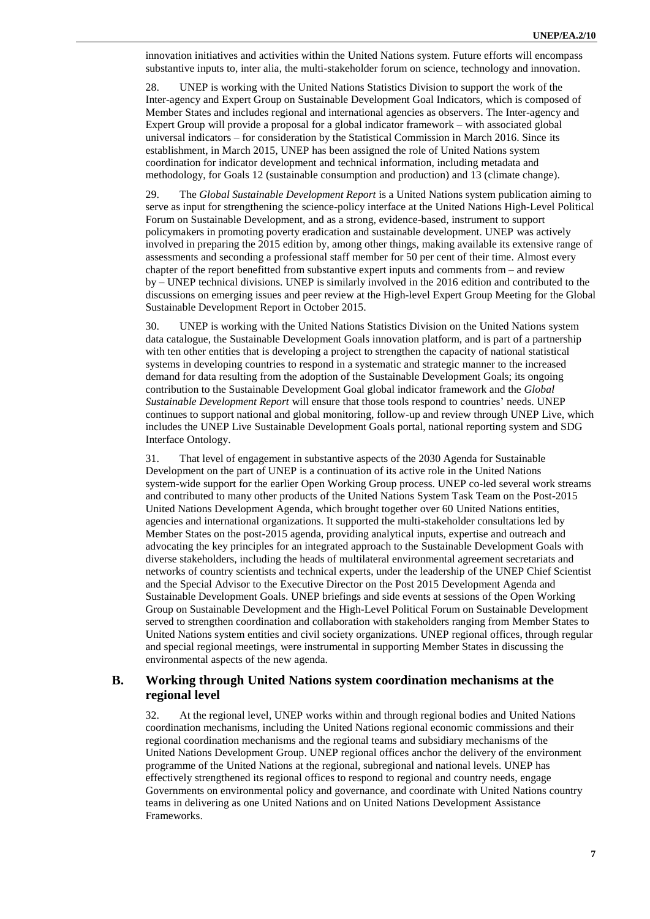innovation initiatives and activities within the United Nations system. Future efforts will encompass substantive inputs to, inter alia, the multi-stakeholder forum on science, technology and innovation.

28. UNEP is working with the [United Nations](http://unstats.un.org/unsd/aboutus.htm) Statistics Division to support the work of the [Inter-agency and Expert Group on Sustainable Development Goal](http://unstats.un.org/sdgs/iaeg-sdgs/) Indicators, which is composed of Member States and includes regional and international agencies as observers. The Inter-agency and Expert Group will provide a proposal for a global indicator framework – with associated global universal indicators – for consideration by the Statistical Commission in March 2016. Since its establishment, in March 2015, UNEP has been assigned the role of United Nations system coordination for indicator development and technical information, including metadata and methodology, for Goals 12 (sustainable consumption and production) and 13 (climate change).

29. The *[Global Sustainable Development Report](https://sustainabledevelopment.un.org/globalsdreport/2015)* is a United Nations system publication aiming to serve as input for strengthening the science-policy interface at the United Nations [High-Level Political](https://sustainabledevelopment.un.org/hlpf)  [Forum](https://sustainabledevelopment.un.org/hlpf) on Sustainable Development, and as a strong, evidence-based, instrument to support policymakers in promoting poverty eradication and sustainable development. UNEP was actively involved in preparing the 2015 edition by, among other things, making available its extensive range of assessments and seconding a professional staff member for 50 per cent of their time. Almost every chapter of the report benefitted from substantive expert inputs and comments from – and review by – UNEP technical divisions. UNEP is similarly involved in the 2016 edition and contributed to the discussions on emerging issues and peer review at the High-level Expert [Group Meeting for the Global](https://sustainabledevelopment.un.org/index.php?page=view&type=13&nr=501&menu=1634)  [Sustainable Development Report](https://sustainabledevelopment.un.org/index.php?page=view&type=13&nr=501&menu=1634) in October 2015.

30. UNEP is working with the United Nations Statistics Division on the United Nations system data catalogue, the Sustainable Development Goals innovation platform, and is part of a partnership with ten other entities that is developing a project to strengthen the capacity of national statistical systems in developing countries to respond in a systematic and strategic manner to the increased demand for data resulting from the adoption of the Sustainable Development Goals; its ongoing contribution to the Sustainable Development Goal global indicator framework and the *Global Sustainable Development Report* will ensure that those tools respond to countries' needs. UNEP continues to support national and global monitoring, follow-up and review through [UNEP](http://uneplive.unep.org/) Live, which includes the UNEP Live Sustainable Development Goals portal, national reporting system and SDG Interface Ontology.

31. That level of engagement in substantive aspects of the 2030 Agenda for Sustainable Development on the part of UNEP is a continuation of its active role in the United Nations system-wide support for the earlier Open Working Group process. UNEP co-led several work streams and contributed to many other products of the United Nations [System Task Team on the Post-2015](http://www.un.org/en/development/desa/policy/untaskteam_undf/index.shtml)  United Nations [Development Agenda,](http://www.un.org/en/development/desa/policy/untaskteam_undf/index.shtml) which brought together over 60 United Nations entities, agencies and international organizations. It supported the multi-stakeholder consultations led by Member States on the post-2015 agenda, providing analytical inputs, expertise and outreach and advocating the key principles for an integrated approach to the Sustainable Development Goals with diverse stakeholders, including the heads of multilateral environmental agreement secretariats and networks of country scientists and technical experts, under the leadership of the UNEP Chief Scientist and the Special Advisor to the Executive Director on the Post 2015 Development Agenda and Sustainable Development Goals. UNEP briefings and side events at sessions of the Open Working Group on Sustainable Development and the High-Level Political Forum on Sustainable Development served to strengthen coordination and collaboration with stakeholders ranging from Member States to United Nations system entities and civil society organizations. UNEP regional offices, through regular and special regional meetings, were instrumental in supporting Member States in discussing the environmental aspects of the new agenda.

### **B. Working through United Nations system coordination mechanisms at the regional level**

32. [At the regional level,](http://www.unep.org/rso/) UNEP works within and through regional bodies and United Nations coordination mechanisms, including the United Nations regional economic commissions and their regional coordination mechanisms and the regional teams and subsidiary mechanisms of the United Nations Development Group. UNEP regional offices anchor the delivery of the environment programme of the United Nations at the regional, subregional and national levels. UNEP has effectively strengthened its regional offices to respond to regional and country needs, engage Governments on environmental policy and governance, and coordinate with United Nations country teams in delivering as one United Nations and on United Nations Development Assistance Frameworks.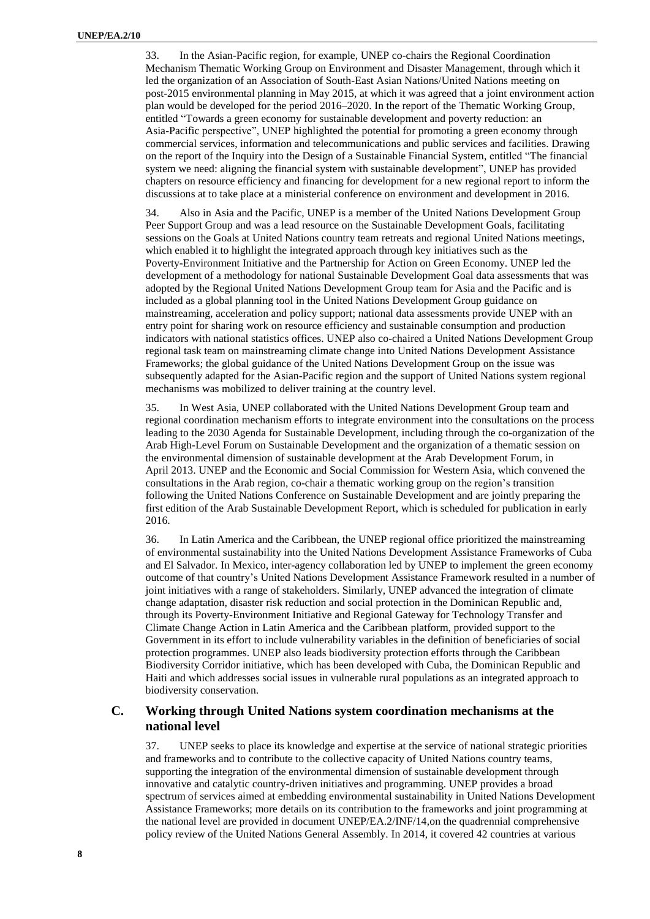33. In the [Asian-Pacific](http://web.unep.org/regions/roap) region, for example, UNEP co-chairs the Regional Coordination Mechanism Thematic Working Group on Environment and Disaster Management, through which it led the organization of an Association of South-East Asian Nations/United Nations meeting on post-2015 environmental planning in May 2015, at which it was agreed that a joint environment action plan would be developed for the period 2016–2020. In the report of the Thematic Working Group, entitled "Towards a green economy for sustainable development and poverty reduction: an Asia-Pacific perspective", UNEP highlighted the potential for promoting a green economy through commercial services, information and telecommunications and public services and facilities. Drawing on the report of the Inquiry into the Design of a Sustainable Financial System, entitled ["The financial](http://web.unep.org/inquiry)  [system we need:](http://web.unep.org/inquiry) aligning the financial system with sustainable development", UNEP has provided chapters on resource efficiency and financing for development for a new regional report to inform the discussions at to take place at a ministerial conference on environment and development in 2016.

34. Also in Asia and the Pacific, UNEP is a member of the United Nations Development Group Peer Support Group and was a lead resource on the Sustainable Development Goals, facilitating sessions on the Goals at United Nations country team retreats and regional United Nations meetings, which enabled it to highlight the integrated approach through key initiatives such as the [Poverty-Environment Initiative](http://www.unep.org/roe/UNPovertyandEnvironmentInitiative/tabid/54601/Default.aspx) and th[e Partnership for Action on Green Economy.](http://www.unep.org/greeneconomy/PAGE) UNEP led the development of a methodology for national Sustainable Development Goal data assessments that was adopted by the Regional United Nations Development Group team for Asia and the Pacific and is included as a global planning tool in the United Nations Development Group guidance on mainstreaming, acceleration and policy support; national data assessments provide UNEP with an entry point for sharing work on resource efficiency and sustainable consumption and production indicators with national statistics offices. UNEP also co-chaired a United Nations Development Group regional task team on mainstreaming climate change into United Nations Development Assistance Frameworks; the global guidance of the United Nations Development Group on the issue was subsequently adapted for the Asian-Pacific region and the support of United Nations system regional mechanisms was mobilized to deliver training at the country level.

35. In West Asia, UNEP collaborated with the United Nations Development Group team and regional coordination mechanism efforts to integrate environment into the consultations on the process leading to the 2030 Agenda for Sustainable Development, including through the co-organization of the [Arab High-Level Forum on Sustainable Development](http://www.escwa.un.org/main/scroll/printwhatsnew.asp?id=924&referenceNUM=SDPD-HighLevel%20Manama-2015) and the organization of a thematic session on the environmental dimension of sustainable development at th[e Arab Development Forum,](http://www.arabstates.undp.org/content/dam/rbas/doc/capacity%20building/UNDP-ADF-Priorities%20for%20the%20Post%202015%20Development%20Agenda-Amman-April2013....pdf) in April 2013. UNEP and the Economic and Social Commission for Western Asia, which convened the consultations in the Arab region, co-chair a thematic working group on the region's transition following the United Nations Conference on Sustainable Development and are jointly preparing the first edition of the Arab Sustainable Development Report, which is scheduled for publication in early 2016.

36. In [Latin America and the Caribbean,](http://www.pnuma.org/) the UNEP regional office prioritized the mainstreaming of environmental sustainability into the United Nations Development Assistance Frameworks of Cuba and El Salvador. In Mexico, inter-agency collaboration led by UNEP to implement the green economy outcome of that country's United Nations Development Assistance Framework resulted in a number of joint initiatives with a range of stakeholders. Similarly, UNEP advanced the integration of climate change adaptation, disaster risk reduction and social protection in the Dominican Republic and, through its Poverty-Environment Initiative and [Regional Gateway for Technology Transfer and](http://www.unep.org/energy/Projects/Project/tabid/131381/language/en-US/Default.aspx?p=234fd695-99bf-4741-b107-1be266eedf70)  [Climate Change Action in Latin America and the Caribbean](http://www.unep.org/energy/Projects/Project/tabid/131381/language/en-US/Default.aspx?p=234fd695-99bf-4741-b107-1be266eedf70) platform, provided support to the Government in its effort to include vulnerability variables in the definition of beneficiaries of social protection programmes. UNEP also leads biodiversity protection efforts through the [Caribbean](http://www.unep.org/disastersandconflicts/CountryOperations/Haiti/AidCoordinationforSustainableDevelopment/CaribbeanBiologicalCorridor/tabid/106585/Default.aspx)  [Biodiversity Corridor](http://www.unep.org/disastersandconflicts/CountryOperations/Haiti/AidCoordinationforSustainableDevelopment/CaribbeanBiologicalCorridor/tabid/106585/Default.aspx) initiative, which has been developed with Cuba, the Dominican Republic and Haiti and which addresses social issues in vulnerable rural populations as an integrated approach to biodiversity conservation.

### **C. Working through United Nations system coordination mechanisms at the national level**

37. UNEP seeks to place its knowledge and expertise at the service of national strategic priorities and frameworks and to contribute to the collective capacity of United Nations country teams, supporting the integration of the environmental dimension of sustainable development through innovative and catalytic country-driven initiatives and programming. UNEP provides a broad spectrum of services aimed at embedding environmental sustainability in United Nations Development Assistance Frameworks; more details on its contribution to the frameworks and joint programming at the national level are provided in document UNEP/EA.2/INF/14,on the quadrennial comprehensive policy review of the United Nations General Assembly. In 2014, it covered 42 countries at various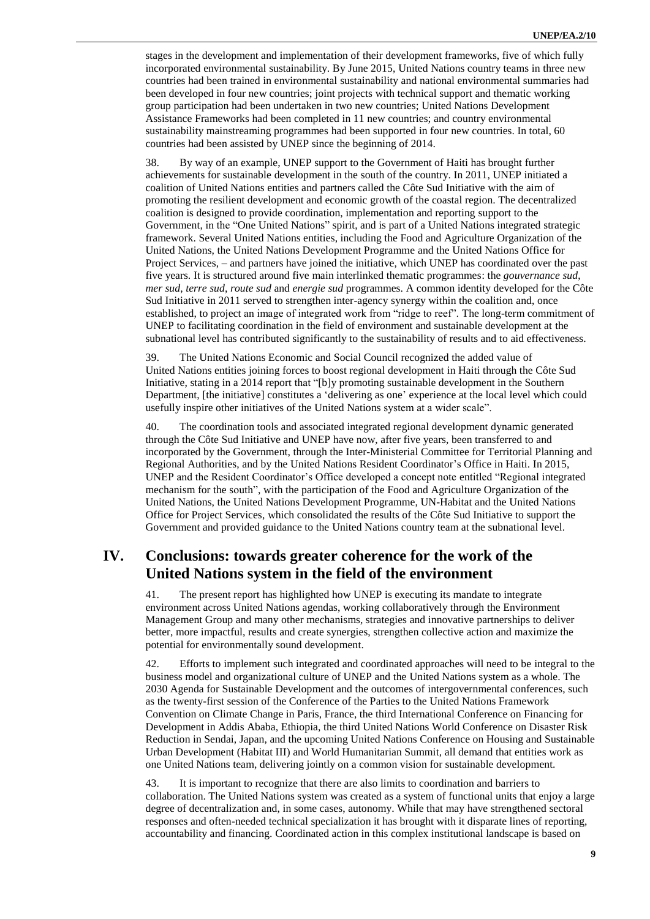stages in the development and implementation of their development frameworks, five of which fully incorporated environmental sustainability. By June 2015, United Nations country teams in three new countries had been trained in environmental sustainability and national environmental summaries had been developed in four new countries; joint projects with technical support and thematic working group participation had been undertaken in two new countries; United Nations Development Assistance Frameworks had been completed in 11 new countries; and country environmental sustainability mainstreaming programmes had been supported in four new countries. In total, 60 countries had been assisted by UNEP since the beginning of 2014.

38. By way of an example, UNEP support to the Government of Haiti has brought further achievements for sustainable development in the south of the country. In 2011, UNEP initiated a coalition of United Nations entities and partners called the [Côte Sud Initiative](http://www.unep.org/disastersandconflicts/UNEPsActivities/Haiti/C%C3%B4teSudInitiative/tabid/55373/Default.aspx) with the aim of promoting the resilient development and economic growth of the coastal region. The decentralized coalition is designed to provide coordination, implementation and reporting support to the Government, in the "One United Nations" spirit, and is part of a United Nations [integrated strategic](http://www.onu-haiti.org/un-in-haiti/)  [framework.](http://www.onu-haiti.org/un-in-haiti/) Several United Nations entities, including the Food and Agriculture Organization of the United Nations, the United Nations Development Programme and the United Nations Office for Project Services, – and partners have joined the initiative, which UNEP has coordinated over the past five years. It is structured around five main interlinked thematic programmes: the *gouvernance sud*, *mer sud*, *terre sud*, *route sud* and *energie sud* programmes. A common identity developed for the Côte Sud Initiative in 2011 served to strengthen inter-agency synergy within the coalition and, once established, to project an image of integrated work from "ridge to reef". The long-term commitment of UNEP to facilitating coordination in the field of environment and sustainable development at the subnational level has contributed significantly to the sustainability of results and to aid effectiveness.

39. The United Nations Economic and Social Council recognized the added value of United Nations entities joining forces to boost regional development in Haiti through the Côte Sud Initiative, stating in a 2014 report that "[b]y promoting sustainable development in the Southern Department, [the initiative] constitutes a 'delivering as one' experience at the local level which could usefully inspire other initiatives of the United Nations system at a wider scale".

40. The coordination tools and associated integrated regional development dynamic generated through the Côte Sud Initiative and UNEP have now, after five years, been transferred to and incorporated by the Government, through the Inter-Ministerial Committee for Territorial Planning and Regional Authorities, and by the United Nations Resident Coordinator's Office in Haiti. In 2015, UNEP and the Resident Coordinator's Office developed a concept note entitled "Regional integrated mechanism for the south", with the participation of the Food and Agriculture Organization of the United Nations, the United Nations Development Programme, UN-Habitat and the United Nations Office for Project Services, which consolidated the results of the Côte Sud Initiative to support the Government and provided guidance to the United Nations country team at the subnational level.

## **IV. Conclusions: towards greater coherence for the work of the United Nations system in the field of the environment**

41. The present report has highlighted how UNEP is executing its mandate to integrate environment across United Nations agendas, working collaboratively through the Environment Management Group and many other mechanisms, strategies and innovative partnerships to deliver better, more impactful, results and create synergies, strengthen collective action and maximize the potential for environmentally sound development.

42. Efforts to implement such integrated and coordinated approaches will need to be integral to the business model and organizational culture of UNEP and the United Nations system as a whole. The 2030 Agenda for Sustainable Development and the outcomes of intergovernmental conferences, such as the twenty-first session of the Conference of the Parties to the United Nations Framework Convention on Climate Change in Paris, France, the third International Conference on Financing for Development in Addis Ababa, Ethiopia, the third United Nations World Conference on Disaster Risk Reduction in Sendai, Japan, and the upcoming United Nations Conference on Housing and Sustainable Urban Development (Habitat III) and World Humanitarian Summit, all demand that entities work as one United Nations team, delivering jointly on a common vision for sustainable development.

43. It is important to recognize that there are also limits to coordination and barriers to collaboration. The United Nations system was created as a system of functional units that enjoy a large degree of decentralization and, in some cases, autonomy. While that may have strengthened sectoral responses and often-needed technical specialization it has brought with it disparate lines of reporting, accountability and financing. Coordinated action in this complex institutional landscape is based on